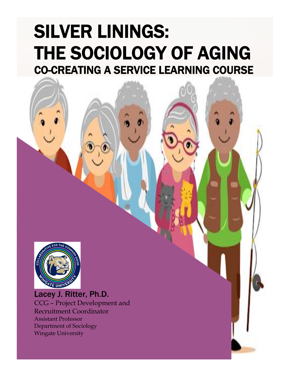# SILVER LININGS: THE SOCIOLOGY OF AGING CO-CREATING A SERVICE LEARNING COURSE



Lacey J. Ritter, Ph.D. CCG – Project Development and Recruitment Coordinator Assistant Professor Department of Sociology Wingate University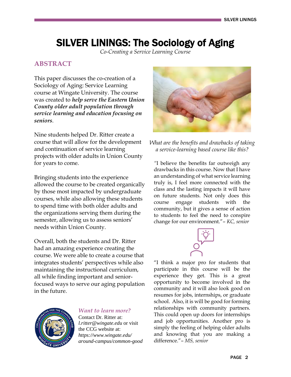## SILVER LININGS: The Sociology of Aging

*Co-Creating a Service Learning Course*

#### **ABSTRACT**

This paper discusses the co-creation of a Sociology of Aging: Service Learning course at Wingate University. The course was created to *help serve the Eastern Union County older adult population through service learning and education focusing on seniors*.

Nine students helped Dr. Ritter create a course that will allow for the development and continuation of service learning projects with older adults in Union County for years to come.

Bringing students into the experience allowed the course to be created organically by those most impacted by undergraduate courses, while also allowing these students to spend time with both older adults and the organizations serving them during the semester, allowing us to assess seniors' needs within Union County.

Overall, both the students and Dr. Ritter had an amazing experience creating the course. We were able to create a course that integrates students' perspectives while also maintaining the instructional curriculum, all while finding important and seniorfocused ways to serve our aging population in the future.



*Want to learn more?* 

Contact Dr. Ritter at: *l.ritter@wingate.edu* or visit the CCG website at: *https://www.wingate.edu/ around-campus/common-good*



*What are the benefits and drawbacks of taking a service-learning based course like this?*

*"*I believe the benefits far outweigh any drawbacks in this course. Now that I have an understanding of what service learning truly is, I feel more connected with the class and the lasting impacts it will have on future students. Not only does this course engage students with the community, but it gives a sense of action to students to feel the need to conspire change for our environment."– *KC, senior*



"I think a major pro for students that participate in this course will be the experience they get. This is a great opportunity to become involved in the community and it will also look good on resumes for jobs, internships, or graduate school. Also, it is will be good for forming relationships with community partners. This could open up doors for internships and job opportunities. Another pro is simply the feeling of helping older adults and knowing that you are making a difference."– *MS, senior*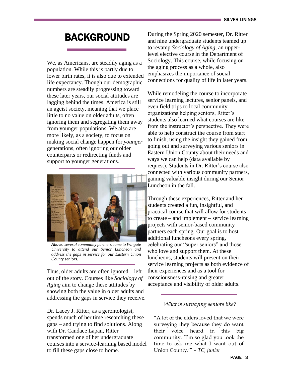## BACKGROUND

We, as Americans, are steadily aging as a population. While this is partly due to lower birth rates, it is also due to extended life expectancy. Though our demographic numbers are steadily progressing toward these later years, our social attitudes are lagging behind the times. America is still an ageist society, meaning that we place little to no value on older adults, often ignoring them and segregating them away from younger populations. We also are more likely, as a society, to focus on making social change happen for *younger*  generations, often ignoring our older counterparts or redirecting funds and support to younger generations.



*Above: several community partners came to Wingate University to attend our Senior Luncheon and address the gaps in service for our Eastern Union County seniors.*

Thus, older adults are often ignored – left out of the story. Courses like *Sociology of Aging* aim to change these attitudes by showing both the value in older adults and addressing the gaps in service they receive.

Dr. Lacey J. Ritter, as a gerontologist, spends much of her time researching these gaps – and trying to find solutions. Along with Dr. Candace Lapan, Ritter transformed one of her undergraduate courses into a service-learning based model to fill these gaps close to home.

During the Spring 2020 semester, Dr. Ritter and nine undergraduate students teamed up to revamp *Sociology of Aging,* an upperlevel elective course in the Department of Sociology. This course, while focusing on the aging process as a whole, also emphasizes the importance of social connections for quality of life in later years.

While remodeling the course to incorporate service learning lectures, senior panels, and even field trips to local community organizations helping seniors, Ritter's students also learned what courses are like from the instructor's perspective. They were able to help construct the course from start to finish, using the insight they gained from going out and surveying various seniors in Eastern Union County about their needs and ways we can help (data available by request). Students in Dr. Ritter's course also connected with various community partners, gaining valuable insight during our Senior Luncheon in the fall.

Through these experiences, Ritter and her students created a fun, insightful, and practical course that will allow for students to create – and implement – service learning projects with senior-based community partners each spring. Our goal is to host additional luncheons every spring, celebrating our "super seniors" and those who love and support them. At these luncheons, students will present on their service learning projects as both evidence of their experiences and as a tool for consciousness-raising and greater acceptance and visibility of older adults.

#### *What is surveying seniors like?*

"A lot of the elders loved that we were surveying they because they do want their voice heard in this big community. 'I'm so glad you took the time to ask me what I want out of Union County.'" – *TC, junior*